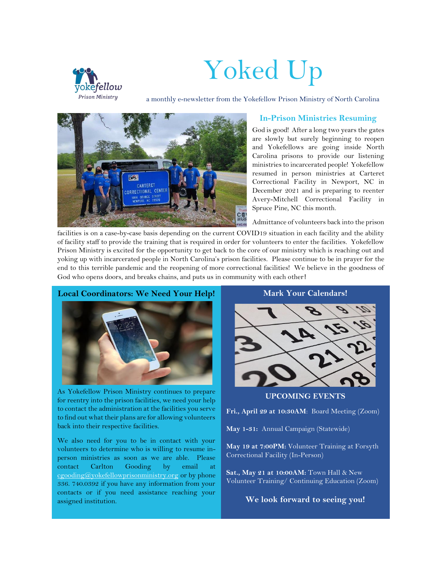

# Yoked Up

a monthly e-newsletter from the Yokefellow Prison Ministry of North Carolina



## **In-Prison Ministries Resuming**

God is good! After a long two years the gates are slowly but surely beginning to reopen and Yokefellows are going inside North Carolina prisons to provide our listening ministries to incarcerated people! Yokefellow resumed in person ministries at Carteret Correctional Facility in Newport, NC in December 2021 and is preparing to reenter Avery-Mitchell Correctional Facility in Spruce Pine, NC this month.

Admittance of volunteers back into the prison

facilities is on a case-by-case basis depending on the current COVID19 situation in each facility and the ability of facility staff to provide the training that is required in order for volunteers to enter the facilities. Yokefellow Prison Ministry is excited for the opportunity to get back to the core of our ministry which is reaching out and yoking up with incarcerated people in North Carolina's prison facilities. Please continue to be in prayer for the end to this terrible pandemic and the reopening of more correctional facilities! We believe in the goodness of God who opens doors, and breaks chains, and puts us in community with each other!

#### **Local Coordinators: We Need Your Help!**



As Yokefellow Prison Ministry continues to prepare for reentry into the prison facilities, we need your help to contact the administration at the facilities you serve to find out what their plans are for allowing volunteers back into their respective facilities.

We also need for you to be in contact with your volunteers to determine who is willing to resume inperson ministries as soon as we are able. Please contact Carlton Gooding by email at [cgooding@yokefellowprisonministry.org](mailto:cgooding@yokefellowprisonministry.org) or by phone 336. 740.0392 if you have any information from your contacts or if you need assistance reaching your assigned institution.



**Mark Your Calendars!**

**UPCOMING EVENTS**

**Fri., April 29 at 10:30AM**: Board Meeting (Zoom)

**May 1-31:** Annual Campaign (Statewide)

**May 19 at 7:00PM:** Volunteer Training at Forsyth Correctional Facility (In-Person)

**Sat., May 21 at 10:00AM:** Town Hall & New Volunteer Training/ Continuing Education (Zoom)

**We look forward to seeing you!**